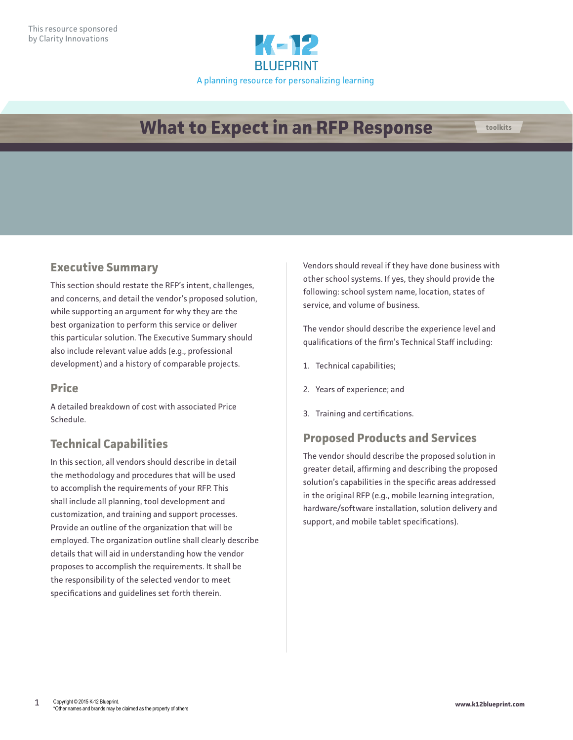

# **What to Expect in an RFP Response toolkits**

#### **Executive Summary**

This section should restate the RFP's intent, challenges, and concerns, and detail the vendor's proposed solution, while supporting an argument for why they are the best organization to perform this service or deliver this particular solution. The Executive Summary should also include relevant value adds (e.g., professional development) and a history of comparable projects.

#### **Price**

A detailed breakdown of cost with associated Price Schedule.

## **Technical Capabilities**

In this section, all vendors should describe in detail the methodology and procedures that will be used to accomplish the requirements of your RFP. This shall include all planning, tool development and customization, and training and support processes. Provide an outline of the organization that will be employed. The organization outline shall clearly describe details that will aid in understanding how the vendor proposes to accomplish the requirements. It shall be the responsibility of the selected vendor to meet specifications and guidelines set forth therein.

Vendors should reveal if they have done business with other school systems. If yes, they should provide the following: school system name, location, states of service, and volume of business.

The vendor should describe the experience level and qualifications of the firm's Technical Staff including:

- 1. Technical capabilities;
- 2. Years of experience; and
- 3. Training and certifications.

#### **Proposed Products and Services**

The vendor should describe the proposed solution in greater detail, affirming and describing the proposed solution's capabilities in the specific areas addressed in the original RFP (e.g., mobile learning integration, hardware/software installation, solution delivery and support, and mobile tablet specifications).